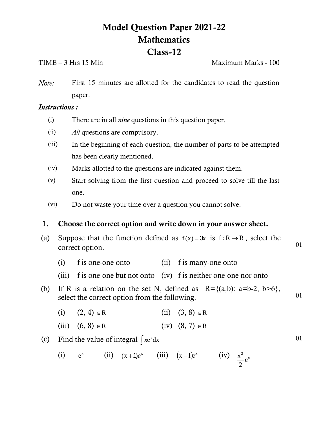# **Model Question Paper 2021-22 Mathematics Class-12**

TIME – 3 Hrs 15 Min Maximum Marks - 100

*Note:* First 15 minutes are allotted for the candidates to read the question paper.

## *Instructions :*

- (i) There are in all *nine* questions in this question paper.
- (ii) *All* questions are compulsory.
- (iii) In the beginning of each question, the number of parts to be attempted has been clearly mentioned.
- (iv) Marks allotted to the questions are indicated against them.
- (v) Start solving from the first question and proceed to solve till the last one.
- (vi) Do not waste your time over a question you cannot solve.

## **1. Choose the correct option and write down in your answer sheet.**

- (a) Suppose that the function defined as  $f(x) = 3x$  is  $f: R \rightarrow R$ , select the correct option. 01
	- (i) f is one-one onto (ii) f is many-one onto
	- (iii) f is one-one but not onto (iv) f is neither one-one nor onto
- (b) If R is a relation on the set N, defined as  $R = \{(a,b): a=b-2, b>6\},\$ select the correct option from the following. 01
	- (i)  $(2, 4) \in R$ (ii)  $(3, 8) \in R$
	- (iii)  $(6, 8) \in R$ (iv)  $(8, 7) \in R$

# (c) Find the value of integral  $\int xe^{x} dx$

(i) 
$$
e^x
$$
 (ii)  $(x+1)e^x$  (iii)  $(x-1)e^x$  (iv)  $\frac{x^2}{2}e^x$ 

01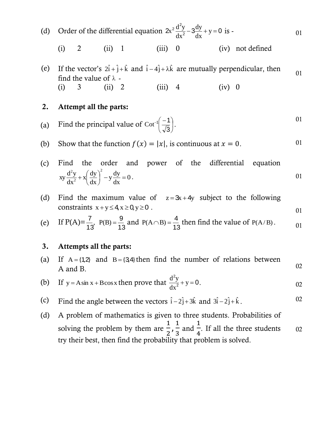(d) Order of the differential equation  $2x^2 \frac{dy}{dx^2} - 3\frac{dy}{dx} + y = 0$  $2\frac{d^2y}{dx^2} - 3\frac{dy}{dx} + y =$ dx dy dx  $x^2 \frac{d^2y}{dx^2} - 3\frac{dy}{dx} + y = 0$  is - 01

(i) 2 (ii) 1 (iii) 0 (iv) not defined

(e) If the vector's  $2\hat{i} + \hat{j} + \hat{k}$  and  $\hat{i} - 4\hat{j} + \lambda \hat{k}$  are mutually perpendicular, then find the value of  $\lambda$  -01 (i) 3 (ii) 2 (iii) 4 (iv) 0

### **2. Attempt all the parts:**

- (a) Find the principal value of Cot<sup>-1</sup>  $\frac{-1}{\sqrt{2}}$ J  $\left(\frac{-1}{\sqrt{2}}\right)$  $\setminus$  $-1$  $\left(-\right)$ 3  $\cot^{-1}\left(\frac{-1}{\sqrt{2}}\right)$ . 01
- (b) Show that the function  $f(x) = |x|$ , is continuous at  $x = 0$ . 01

(c) Find the order and power of the differential equation  
\n
$$
xy\frac{d^2y}{dx^2} + x\left(\frac{dy}{dx}\right)^2 - y\frac{dy}{dx} = 0.
$$

(d) Find the maximum value of  $z = 3x + 4y$  subject to the following constraints  $x + y \le 4$ ,  $x \ge 0$ ,  $y \ge 0$ . 01

(e) If 
$$
P(A) = \frac{7}{13}
$$
,  $P(B) = \frac{9}{13}$  and  $P(A \cap B) = \frac{4}{13}$  then find the value of  $P(A/B)$ .

### **3. Attempts all the parts:**

 $(a)$  $A = \{1,2\}$  and  $B = \{3,4\}$  then find the number of relations between A and B. 02  $\overline{2}$ 

(b) If 
$$
y = A \sin x + B \cos x
$$
 then prove that  $\frac{d^2y}{dx^2} + y = 0$ .

- (c) Find the angle between the vectors  $\hat{i} 2\hat{j} + 3\hat{k}$  and  $3\hat{i} 2\hat{j} + \hat{k}$ . 02
- (d) A problem of mathematics is given to three students. Probabilities of solving the problem by them are  $\mathbf{1}$  $\frac{1}{2}, \frac{1}{3}$ 3 and  $\mathbf{1}$  $\overline{4}$ . If all the three students try their best, then find the probability that problem is solved. 02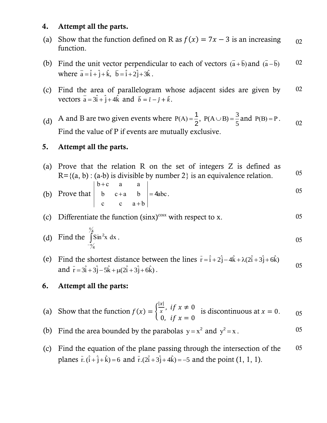## **4. Attempt all the parts.**

- (a) Show that the function defined on R as  $f(x) = 7x 3$  is an increasing function. 02
- (b) Find the unit vector perpendicular to each of vectors  $(\bar{a} + \bar{b})$  and  $(\bar{a} \bar{b})$ where  $\overline{a} = \hat{i} + \hat{j} + \hat{k}$ ,  $\overline{b} = \hat{i} + 2\hat{j} + 3\hat{k}$ . 02
- (c) Find the area of parallelogram whose adjacent sides are given by vectors  $\bar{a} = 3\hat{i} + \hat{j} + 4\hat{k}$  and  $\bar{b} = \hat{i} - \hat{j} + \hat{k}$ . 02
- (d) A and B are two given events where 2  $P(A) = \frac{1}{6},$ 5  $P(A \cup B) = \frac{3}{5}$  and  $P(B) = P$ . Find the value of P if events are mutually exclusive. 02

## **5. Attempt all the parts.**

(a) Prove that the relation R on the set of integers Z is defined as  $R = \{(a, b) : (a-b)$  is divisible by number 2 is an equivalence relation.  $05$  $b+c$  a a

(b) Prove that 
$$
\begin{vmatrix} b & c+a & b \ b & c+a & b \ c & c & a+b \end{vmatrix} = 4abc.
$$

(c) Differentiate the function 
$$
(\sin x)^{\cos x}
$$
 with respect to x.

(d) Find the 
$$
\int_{-\frac{\pi}{4}}^{\frac{\pi}{4}} \text{Sin}^2 x \, dx
$$
.

(e) Find the shortest distance between the lines  $\bar{r} = \hat{i} + 2\hat{j} - 4\hat{k} + \lambda(2\hat{i} + 3\hat{j} + 6\hat{k})$ and  $\vec{r} = 3\hat{i} + 3\hat{j} - 5\hat{k} + \mu(2\hat{i} + 3\hat{j} + 6\hat{k})$ . 05

## **6. Attempt all the parts:**

- (a) Show that the function  $f$ I  $\frac{x_1}{x}$ ,  $\boldsymbol{0}$ is discontinuous at  $x = 0$ .  $0.65$
- (b) Find the area bounded by the parabolas  $y = x^2$  and  $y^2 = x$ . 05
- (c) Find the equation of the plane passing through the intersection of the planes  $\vec{r} \cdot (\hat{i} + \hat{j} + \hat{k}) = 6$  and  $\vec{r} \cdot (2\hat{i} + 3\hat{j} + 4\hat{k}) = -5$  and the point (1, 1, 1). 05